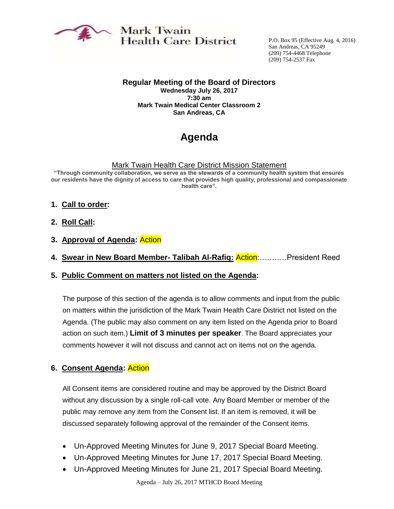

Mark Twain **Health Care District** 

P.O. Box 95 (Effective Aug. 4, 2016) San Andreas, CA 95249 (209) 754-4468 Telephone (209) 754-2537 Fax

**Regular Meeting of the Board of Directors Wednesday July 26, 2017 7:30 am Mark Twain Medical Center Classroom 2 San Andreas, CA**

# **Agenda**

#### Mark Twain Health Care District Mission Statement

**"Through community collaboration, we serve as the stewards of a community health system that ensures our residents have the dignity of access to care that provides high quality, professional and compassionate health care".** 

- **1. Call to order:**
- **2. Roll Call:**
- **3. Approval of Agenda:** Action
- **4. Swear in New Board Member- Talibah Al-Rafiq:** Action:….….…President Reed
- **5. Public Comment on matters not listed on the Agenda:**

The purpose of this section of the agenda is to allow comments and input from the public on matters within the jurisdiction of the Mark Twain Health Care District not listed on the Agenda. (The public may also comment on any item listed on the Agenda prior to Board action on such item.) **Limit of 3 minutes per speaker**. The Board appreciates your comments however it will not discuss and cannot act on items not on the agenda.

#### **6. Consent Agenda:** Action

All Consent items are considered routine and may be approved by the District Board without any discussion by a single roll-call vote. Any Board Member or member of the public may remove any item from the Consent list. If an item is removed, it will be discussed separately following approval of the remainder of the Consent items.

- Un-Approved Meeting Minutes for June 9, 2017 Special Board Meeting.
- Un-Approved Meeting Minutes for June 17, 2017 Special Board Meeting.
- Un-Approved Meeting Minutes for June 21, 2017 Special Board Meeting.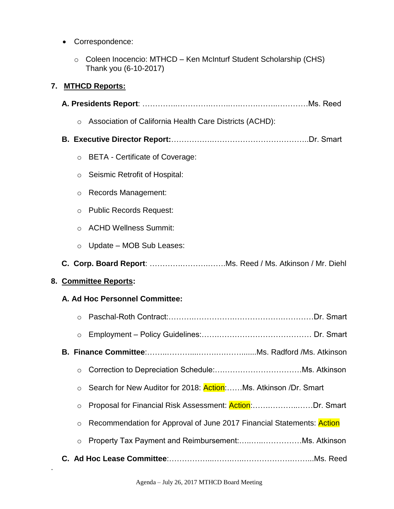- Correspondence:
	- o Coleen Inocencio: MTHCD Ken McInturf Student Scholarship (CHS) Thank you (6-10-2017)

## **7. MTHCD Reports:**

|                       | $\circ$ | Association of California Health Care Districts (ACHD):               |
|-----------------------|---------|-----------------------------------------------------------------------|
|                       |         |                                                                       |
|                       | $\circ$ | <b>BETA - Certificate of Coverage:</b>                                |
|                       | $\circ$ | Seismic Retrofit of Hospital:                                         |
|                       | O       | <b>Records Management:</b>                                            |
|                       | O       | <b>Public Records Request:</b>                                        |
|                       | $\circ$ | <b>ACHD Wellness Summit:</b>                                          |
|                       | $\circ$ | Update – MOB Sub Leases:                                              |
|                       |         |                                                                       |
| 8. Committee Reports: |         |                                                                       |
|                       |         | A. Ad Hoc Personnel Committee:                                        |
|                       | $\circ$ |                                                                       |
|                       | $\circ$ |                                                                       |
|                       |         |                                                                       |
|                       | $\circ$ |                                                                       |
|                       |         | Search for New Auditor for 2018: Action:Ms. Atkinson /Dr. Smart       |
|                       | $\circ$ | Proposal for Financial Risk Assessment: Action: Dr. Smart             |
|                       | $\circ$ | Recommendation for Approval of June 2017 Financial Statements: Action |
|                       | $\circ$ | Property Tax Payment and Reimbursement:Ms. Atkinson                   |
|                       |         |                                                                       |
|                       |         |                                                                       |